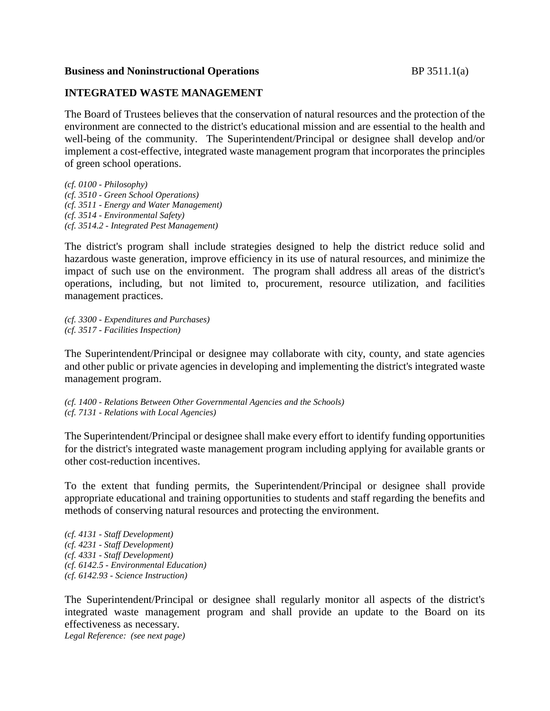### **Business and Noninstructional Operations** BP 3511.1(a)

## **INTEGRATED WASTE MANAGEMENT**

The Board of Trustees believes that the conservation of natural resources and the protection of the environment are connected to the district's educational mission and are essential to the health and well-being of the community. The Superintendent/Principal or designee shall develop and/or implement a cost-effective, integrated waste management program that incorporates the principles of green school operations.

*(cf. 0100 - Philosophy) (cf. 3510 - Green School Operations) (cf. 3511 - Energy and Water Management) (cf. 3514 - Environmental Safety) (cf. 3514.2 - Integrated Pest Management)*

The district's program shall include strategies designed to help the district reduce solid and hazardous waste generation, improve efficiency in its use of natural resources, and minimize the impact of such use on the environment. The program shall address all areas of the district's operations, including, but not limited to, procurement, resource utilization, and facilities management practices.

*(cf. 3300 - Expenditures and Purchases) (cf. 3517 - Facilities Inspection)*

The Superintendent/Principal or designee may collaborate with city, county, and state agencies and other public or private agencies in developing and implementing the district's integrated waste management program.

*(cf. 1400 - Relations Between Other Governmental Agencies and the Schools) (cf. 7131 - Relations with Local Agencies)*

The Superintendent/Principal or designee shall make every effort to identify funding opportunities for the district's integrated waste management program including applying for available grants or other cost-reduction incentives.

To the extent that funding permits, the Superintendent/Principal or designee shall provide appropriate educational and training opportunities to students and staff regarding the benefits and methods of conserving natural resources and protecting the environment.

*(cf. 4131 - Staff Development) (cf. 4231 - Staff Development) (cf. 4331 - Staff Development) (cf. 6142.5 - Environmental Education) (cf. 6142.93 - Science Instruction)*

The Superintendent/Principal or designee shall regularly monitor all aspects of the district's integrated waste management program and shall provide an update to the Board on its effectiveness as necessary.

*Legal Reference: (see next page)*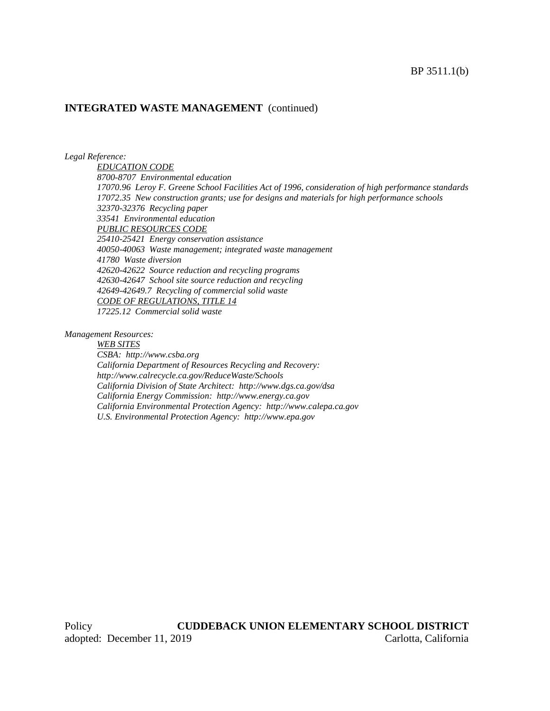#### **INTEGRATED WASTE MANAGEMENT** (continued)

*Legal Reference:*

*EDUCATION CODE 8700-8707 Environmental education 17070.96 Leroy F. Greene School Facilities Act of 1996, consideration of high performance standards 17072.35 New construction grants; use for designs and materials for high performance schools 32370-32376 Recycling paper 33541 Environmental education PUBLIC RESOURCES CODE 25410-25421 Energy conservation assistance 40050-40063 Waste management; integrated waste management 41780 Waste diversion 42620-42622 Source reduction and recycling programs 42630-42647 School site source reduction and recycling 42649-42649.7 Recycling of commercial solid waste CODE OF REGULATIONS, TITLE 14 17225.12 Commercial solid waste*

*Management Resources:*

*WEB SITES CSBA: http://www.csba.org*

*California Department of Resources Recycling and Recovery: http://www.calrecycle.ca.gov/ReduceWaste/Schools California Division of State Architect: http://www.dgs.ca.gov/dsa California Energy Commission: http://www.energy.ca.gov California Environmental Protection Agency: http://www.calepa.ca.gov U.S. Environmental Protection Agency: http://www.epa.gov*

Policy **CUDDEBACK UNION ELEMENTARY SCHOOL DISTRICT** adopted: December 11, 2019 Carlotta, California